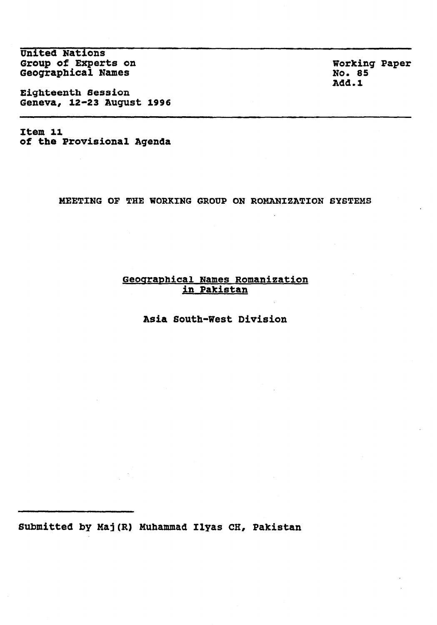United Nations Group of Experts on Geographical Names

Eighteenth Session Geneva, 12-23 August 1996

Item 11 of the Provisional Agenda

MEETING OF THE WORKING GROUP ON ROMANIZATION SYSTEMS

## Geographical Names Romanization in Pakistan

Asia South-West Division

Submitted by Maj(R) Muhammad Ilyas CH, Pakistan

Working Paper No. 85 Add.1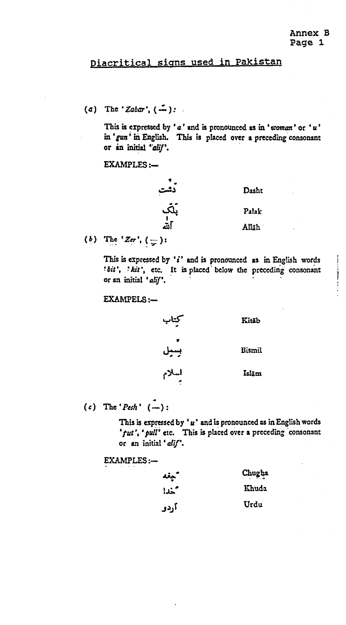## Diacritical signs used in Pakistan

(a) The '*Zabar*',  $(-)$ :  $\mathbb{R}^2$ 

> This is expressed by 'a' and is pronounced as in 'woman' or 'u' in 'gun' in English. This is placed over a preceding consonant or in initial 'alif'.

EXAMPLES:-

.<br>دشت<br>مار<br>مار Dasht Palak Allah

(b) The 'Zer',  $(\frac{\ }{r})$ :

This is expressed by  $i'$  and is pronounced as in English words  $i'_{\text{R}}$  is  $k'$  at  $c$  It is placed below the preceding consonant 'bit', 'kit', etc. It is placed below the preceding consonant or an initial 'alif'.

EXAMPELS :-

کیتاب<br>قسیل<br>بسیلام Kitāb Bismit Islam

(c) The 'Pesh'  $(-)$ :

This is equivalent by the interpretation of the interpretation  $\mathcal{L}_\mathbf{p}$ This is expressed over a preference as in english words ' $fut'$ , ' $pull'$  etc. This is placed over a preceding consonant<br>or an initial ' $alif'$ .

EXAMPLES:-

| ____________________ |        |
|----------------------|--------|
| سيغد                 | Chugha |
| متحدا                | Khuda  |
| آردو                 | Urdu   |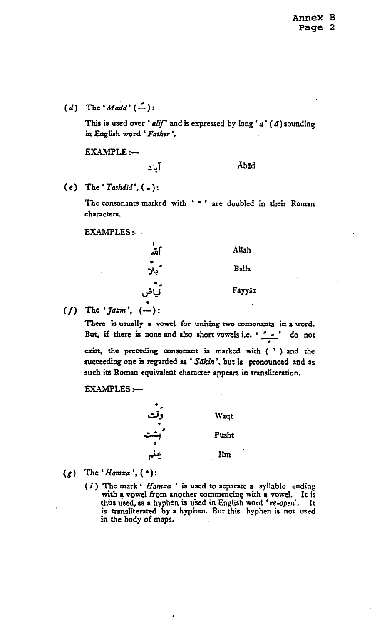(d) The 'Madd'  $(-)$ :

This is used over ' alif' and is expressed by long '  $a'$  ( $d$ ) sounding in English word ' Father'.

 $EXAMPLE:$ 

## $\overline{\text{S}}$  and  $\overline{\text{S}}$  and  $\overline{\text{S}}$

 $(e)$  The 'Tashdid',  $($ .):

The consonants marked with ' . ' are doubled in their Roman characters.

 $EXAMPLES$ : $-$ 

| آشہ  | Allāh  |
|------|--------|
| بلا  | Balla  |
| فياض | Fayyãz |

 $(f)$  The '*Jazm*',  $(-)$ :

There is usually a vowel for uniting two consonants in a word. But, if there is none and also short vowels i.e.  $\cdot$   $\cdot$   $\cdot$   $\cdot$  do not exist, the preceding consonant is marked with (  $'$  ) and the succeeding one is regarded as ' Sakin', but is pronounced and as such its Roman equivalent character appears in transliteration.

EXAMPLES :-



- $(g)$  The 'Hamza',  $($   $\cdot$ ):
	- ( $i$ ) The mark ' Hamza' is used to separate a syllable ending with a vowel from another commencing with a vowel. It is will a vowel fight another commencing with a vowel. It is  $\frac{1}{2}$  the state by a hyphon is used in Eughsh word re-open. It is transliterated by a hyphen. But this hyphen is not used in the body of maps.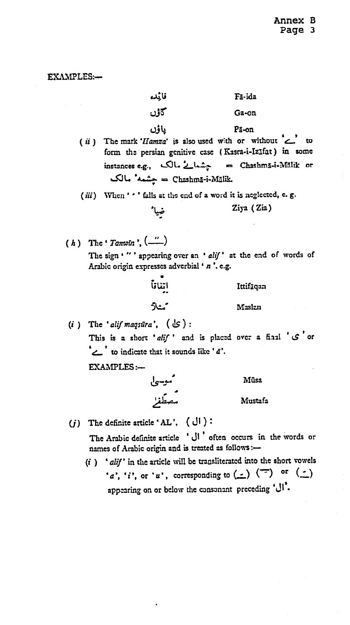EXAMPLES:-

| قائده                                                                                                                | Fā-ida                                                                                                                      |
|----------------------------------------------------------------------------------------------------------------------|-----------------------------------------------------------------------------------------------------------------------------|
| كاؤن                                                                                                                 | Ga-on                                                                                                                       |
| ياؤن<br>Chashmā-i-Mālik. == جشمه* مالک                                                                               | Pã-on<br>(ii) The mark 'Hamza' is also used with or without _ to<br>form the persian genitive case (Kasra-i-IzIfat) in some |
| (iii) When '' ' falls at the end of a word it is neglected, e. g.                                                    |                                                                                                                             |
|                                                                                                                      | Ziya (Zia)                                                                                                                  |
| (h) The ' Tanwin', $\begin{pmatrix} n \\ n \end{pmatrix}$<br>Arabic origin expresses adverbial ' n '. e.g.<br>اتناتآ | The sign '"' appearing over an 'alif' at the end of words of<br>Ittifäqan                                                   |
|                                                                                                                      |                                                                                                                             |
| مثلاً                                                                                                                | Maslan                                                                                                                      |
| (i) The 'alif maqsura', $(\cup)$ :<br>to indicate that it sounds like ' $d'$ .                                       | This is a short 'alif' and is placed over a final 'S' or                                                                    |
| <b>EXAMPLES:-</b>                                                                                                    |                                                                                                                             |
|                                                                                                                      | Mūsa                                                                                                                        |
| موسىل<br>مصطفر                                                                                                       | Mustafa                                                                                                                     |

(j) The definite article 'AL',  $(\bigcup)$ :

The Arabic definite article ' U' often occurs in the words or names of Arabic origin and is treated as follows :-

 $(i)$  'alif' in the article will be transliterated into the short vowels 'a', 'i', or 'u', corresponding to  $(\underline{\cdot})$   $(\overline{\cdot})$  or  $(\underline{\cdot})$ appearing on or below the consonant preceding 'l'.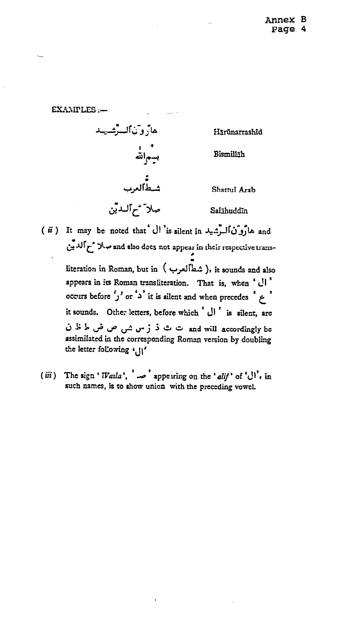EXAMPLES:-

هاروتالسرشميد Hārūnarrashīd - - - -<br>بسمالته<br>بسمالته Bismilläh ء<br>شطالعرب Shattul Arab صلاً مم الدين Salāhuddīn

( ii ) It may be noted that U is silent in and and and also does not appear in their respective transliteration in Roman, but in ( شطألعرب ), it sounds and also appears in its Roman transliteration. That is, when ' Ul' occurs before 'j' or 'a' it is silent and when precedes ' e' it sounds. Other letters, before which ' l' is silent. are and will accordingly be ت ث ذ ز س ش ص ض ط ظ ن assimilated in the corresponding Roman version by doubling the letter following '

(iii) The sign '*Wasla'*,  $\sim$  appearing on the 'alif' of '\j'', in such names, is to show union with the preceding vowel.